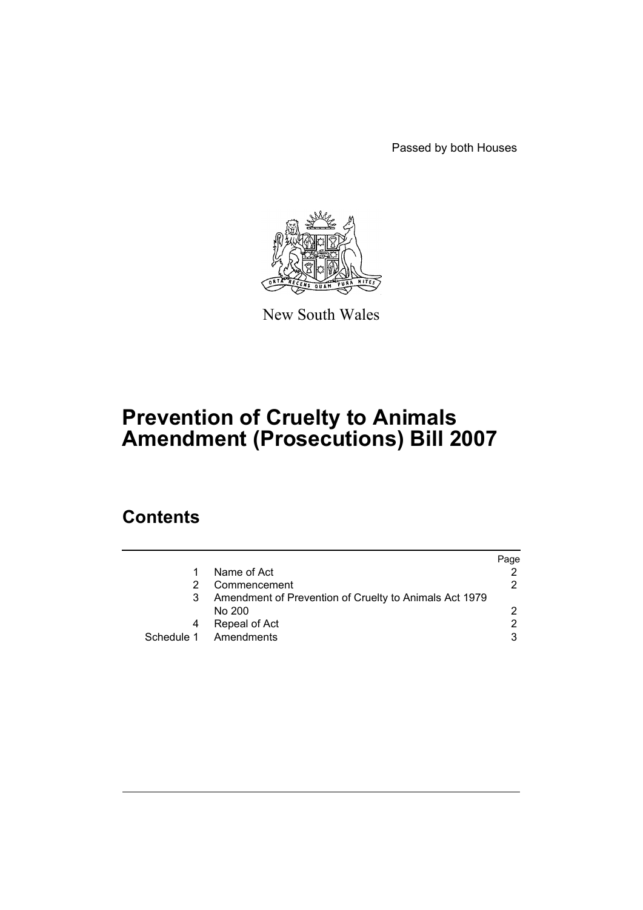Passed by both Houses



New South Wales

# **Prevention of Cruelty to Animals Amendment (Prosecutions) Bill 2007**

## **Contents**

|                                                        | Page |
|--------------------------------------------------------|------|
| Name of Act                                            |      |
| Commencement                                           | 2    |
| Amendment of Prevention of Cruelty to Animals Act 1979 |      |
| No 200                                                 |      |
| Repeal of Act                                          | 2    |
| Schedule 1 Amendments                                  | 3    |
|                                                        |      |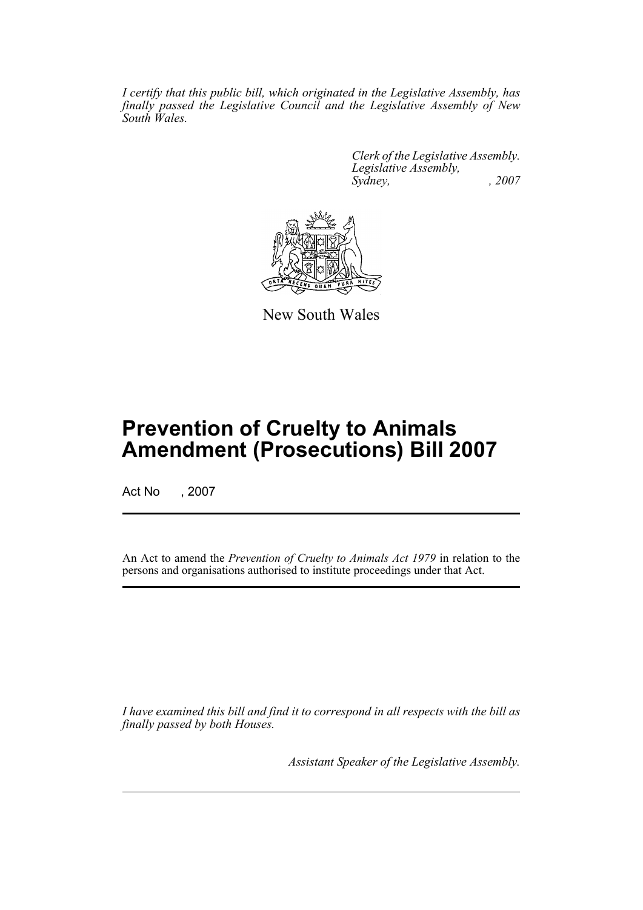*I certify that this public bill, which originated in the Legislative Assembly, has finally passed the Legislative Council and the Legislative Assembly of New South Wales.*

> *Clerk of the Legislative Assembly. Legislative Assembly, Sydney, , 2007*



New South Wales

## **Prevention of Cruelty to Animals Amendment (Prosecutions) Bill 2007**

Act No , 2007

An Act to amend the *Prevention of Cruelty to Animals Act 1979* in relation to the persons and organisations authorised to institute proceedings under that Act.

*I have examined this bill and find it to correspond in all respects with the bill as finally passed by both Houses.*

*Assistant Speaker of the Legislative Assembly.*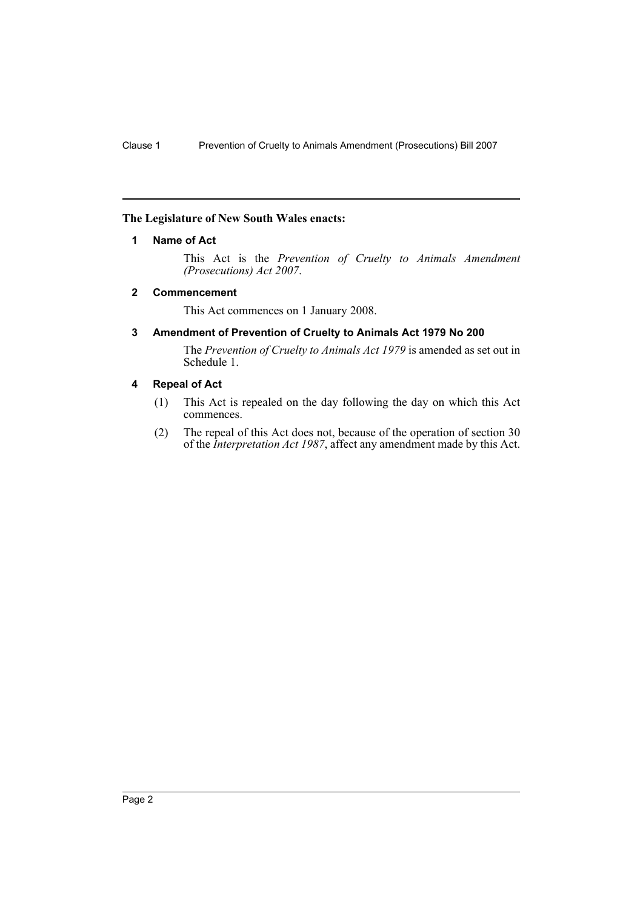#### <span id="page-2-0"></span>**The Legislature of New South Wales enacts:**

#### **1 Name of Act**

This Act is the *Prevention of Cruelty to Animals Amendment (Prosecutions) Act 2007*.

#### <span id="page-2-1"></span>**2 Commencement**

This Act commences on 1 January 2008.

#### <span id="page-2-2"></span>**3 Amendment of Prevention of Cruelty to Animals Act 1979 No 200**

The *Prevention of Cruelty to Animals Act 1979* is amended as set out in Schedule 1.

#### <span id="page-2-3"></span>**4 Repeal of Act**

- (1) This Act is repealed on the day following the day on which this Act commences.
- (2) The repeal of this Act does not, because of the operation of section 30 of the *Interpretation Act 1987*, affect any amendment made by this Act.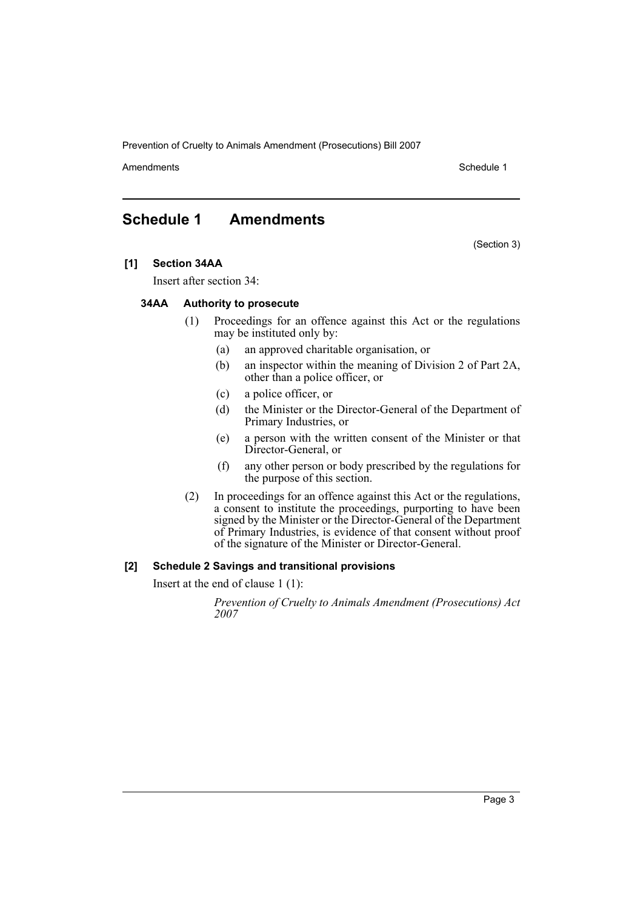Prevention of Cruelty to Animals Amendment (Prosecutions) Bill 2007

Amendments **Schedule 1** and the set of the set of the set of the set of the set of the set of the set of the set of the set of the set of the set of the set of the set of the set of the set of the set of the set of the set

(Section 3)

## <span id="page-3-0"></span>**Schedule 1 Amendments**

**[1] Section 34AA**

Insert after section 34:

#### **34AA Authority to prosecute**

- (1) Proceedings for an offence against this Act or the regulations may be instituted only by:
	- (a) an approved charitable organisation, or
	- (b) an inspector within the meaning of Division 2 of Part 2A, other than a police officer, or
	- (c) a police officer, or
	- (d) the Minister or the Director-General of the Department of Primary Industries, or
	- (e) a person with the written consent of the Minister or that Director-General, or
	- (f) any other person or body prescribed by the regulations for the purpose of this section.
- (2) In proceedings for an offence against this Act or the regulations, a consent to institute the proceedings, purporting to have been signed by the Minister or the Director-General of the Department of Primary Industries, is evidence of that consent without proof of the signature of the Minister or Director-General.

#### **[2] Schedule 2 Savings and transitional provisions**

Insert at the end of clause 1 (1):

*Prevention of Cruelty to Animals Amendment (Prosecutions) Act 2007*